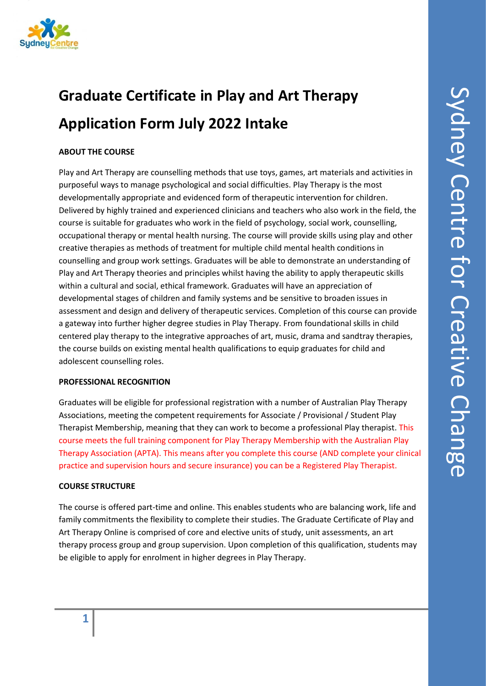

# **Graduate Certificate in Play and Art Therapy Application Form July 2022 Intake**

# **ABOUT THE COURSE**

Play and Art Therapy are counselling methods that use toys, games, art materials and activities in purposeful ways to manage psychological and social difficulties. Play Therapy is the most developmentally appropriate and evidenced form of therapeutic intervention for children. Delivered by highly trained and experienced clinicians and teachers who also work in the field, the course is suitable for graduates who work in the field of psychology, social work, counselling, occupational therapy or mental health nursing. The course will provide skills using play and other creative therapies as methods of treatment for multiple child mental health conditions in counselling and group work settings. Graduates will be able to demonstrate an understanding of Play and Art Therapy theories and principles whilst having the ability to apply therapeutic skills within a cultural and social, ethical framework. Graduates will have an appreciation of developmental stages of children and family systems and be sensitive to broaden issues in assessment and design and delivery of therapeutic services. Completion of this course can provide a gateway into further higher degree studies in Play Therapy. From foundational skills in child centered play therapy to the integrative approaches of art, music, drama and sandtray therapies, the course builds on existing mental health qualifications to equip graduates for child and adolescent counselling roles.

#### **PROFESSIONAL RECOGNITION**

Graduates will be eligible for professional registration with a number of Australian Play Therapy Associations, meeting the competent requirements for Associate / Provisional / Student Play Therapist Membership, meaning that they can work to become a professional Play therapist. This course meets the full training component for Play Therapy Membership with the Australian Play Therapy Association (APTA). This means after you complete this course (AND complete your clinical practice and supervision hours and secure insurance) you can be a Registered Play Therapist.

## **COURSE STRUCTURE**

The course is offered part-time and online. This enables students who are balancing work, life and family commitments the flexibility to complete their studies. The Graduate Certificate of Play and Art Therapy Online is comprised of core and elective units of study, unit assessments, an art therapy process group and group supervision. Upon completion of this qualification, students may be eligible to apply for enrolment in higher degrees in Play Therapy.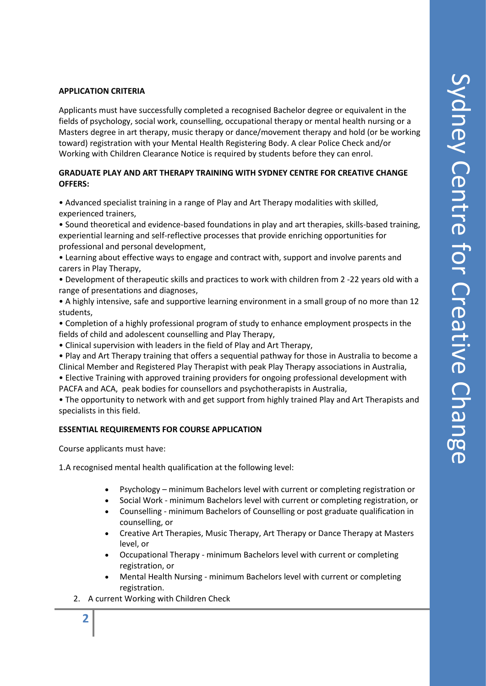#### **APPLICATION CRITERIA**

Applicants must have successfully completed a recognised Bachelor degree or equivalent in the fields of psychology, social work, counselling, occupational therapy or mental health nursing or a Masters degree in art therapy, music therapy or dance/movement therapy and hold (or be working toward) registration with your Mental Health Registering Body. A clear Police Check and/or Working with Children Clearance Notice is required by students before they can enrol.

#### **GRADUATE PLAY AND ART THERAPY TRAINING WITH SYDNEY CENTRE FOR CREATIVE CHANGE OFFERS:**

• Advanced specialist training in a range of Play and Art Therapy modalities with skilled, experienced trainers,

• Sound theoretical and evidence-based foundations in play and art therapies, skills-based training, experiential learning and self-reflective processes that provide enriching opportunities for professional and personal development,

- Learning about effective ways to engage and contract with, support and involve parents and carers in Play Therapy,
- Development of therapeutic skills and practices to work with children from 2 -22 years old with a range of presentations and diagnoses,
- A highly intensive, safe and supportive learning environment in a small group of no more than 12 students,
- Completion of a highly professional program of study to enhance employment prospects in the fields of child and adolescent counselling and Play Therapy,
- Clinical supervision with leaders in the field of Play and Art Therapy,
- Play and Art Therapy training that offers a sequential pathway for those in Australia to become a Clinical Member and Registered Play Therapist with peak Play Therapy associations in Australia,
- Elective Training with approved training providers for ongoing professional development with PACFA and ACA, peak bodies for counsellors and psychotherapists in Australia,

• The opportunity to network with and get support from highly trained Play and Art Therapists and specialists in this field.

#### **ESSENTIAL REQUIREMENTS FOR COURSE APPLICATION**

Course applicants must have:

1.A recognised mental health qualification at the following level:

- Psychology minimum Bachelors level with current or completing registration or
- Social Work minimum Bachelors level with current or completing registration, or
- Counselling minimum Bachelors of Counselling or post graduate qualification in counselling, or
- Creative Art Therapies, Music Therapy, Art Therapy or Dance Therapy at Masters level, or
- Occupational Therapy minimum Bachelors level with current or completing registration, or
- Mental Health Nursing minimum Bachelors level with current or completing registration.
- 2. A current Working with Children Check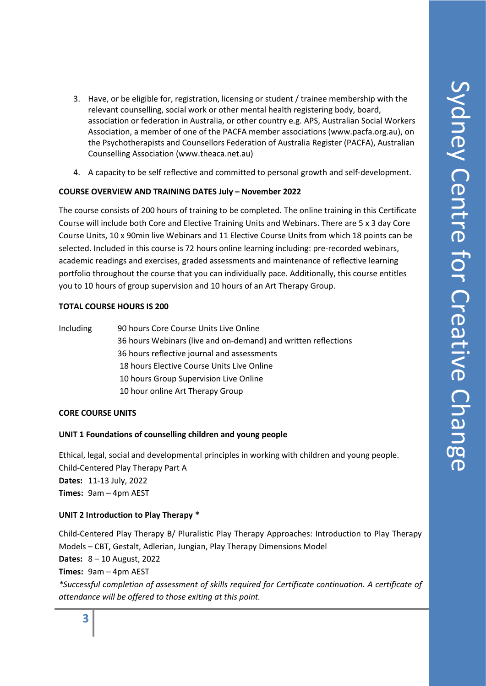- 3. Have, or be eligible for, registration, licensing or student / trainee membership with the relevant counselling, social work or other mental health registering body, board, association or federation in Australia, or other country e.g. APS, Australian Social Workers Association, a member of one of the PACFA member associations (www.pacfa.org.au), on the Psychotherapists and Counsellors Federation of Australia Register (PACFA), Australian Counselling Association (www.theaca.net.au)
- 4. A capacity to be self reflective and committed to personal growth and self-development.

#### **COURSE OVERVIEW AND TRAINING DATES July – November 2022**

The course consists of 200 hours of training to be completed. The online training in this Certificate Course will include both Core and Elective Training Units and Webinars. There are 5 x 3 day Core Course Units, 10 x 90min live Webinars and 11 Elective Course Units from which 18 points can be selected. Included in this course is 72 hours online learning including: pre-recorded webinars, academic readings and exercises, graded assessments and maintenance of reflective learning portfolio throughout the course that you can individually pace. Additionally, this course entitles you to 10 hours of group supervision and 10 hours of an Art Therapy Group.

#### **TOTAL COURSE HOURS IS 200**

Including 90 hours Core Course Units Live Online 36 hours Webinars (live and on-demand) and written reflections 36 hours reflective journal and assessments 18 hours Elective Course Units Live Online 10 hours Group Supervision Live Online 10 hour online Art Therapy Group

#### **CORE COURSE UNITS**

#### **UNIT 1 Foundations of counselling children and young people**

Ethical, legal, social and developmental principles in working with children and young people. Child-Centered Play Therapy Part A **Dates:** 11-13 July, 2022 **Times:** 9am – 4pm AEST

#### **UNIT 2 Introduction to Play Therapy \***

Child-Centered Play Therapy B/ Pluralistic Play Therapy Approaches: Introduction to Play Therapy Models – CBT, Gestalt, Adlerian, Jungian, Play Therapy Dimensions Model **Dates:** 8 – 10 August, 2022 **Times:** 9am – 4pm AEST *\*Successful completion of assessment of skills required for Certificate continuation. A certificate of attendance will be offered to those exiting at this point.*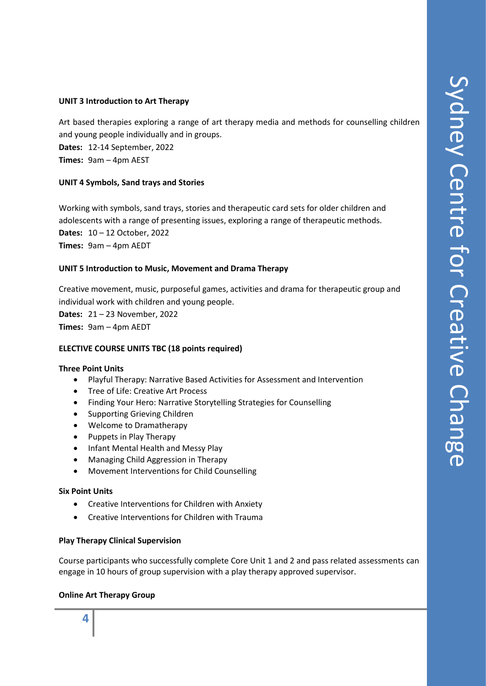#### **UNIT 3 Introduction to Art Therapy**

Art based therapies exploring a range of art therapy media and methods for counselling children and young people individually and in groups.

**Dates:** 12-14 September, 2022 **Times:** 9am – 4pm AEST

#### **UNIT 4 Symbols, Sand trays and Stories**

Working with symbols, sand trays, stories and therapeutic card sets for older children and adolescents with a range of presenting issues, exploring a range of therapeutic methods. **Dates:** 10 – 12 October, 2022 **Times:** 9am – 4pm AEDT

#### **UNIT 5 Introduction to Music, Movement and Drama Therapy**

Creative movement, music, purposeful games, activities and drama for therapeutic group and individual work with children and young people.

**Dates:** 21 – 23 November, 2022 **Times:** 9am – 4pm AEDT

#### **ELECTIVE COURSE UNITS TBC (18 points required)**

#### **Three Point Units**

- Playful Therapy: Narrative Based Activities for Assessment and Intervention
- Tree of Life: Creative Art Process
- Finding Your Hero: Narrative Storytelling Strategies for Counselling
- Supporting Grieving Children
- Welcome to Dramatherapy
- Puppets in Play Therapy
- Infant Mental Health and Messy Play
- Managing Child Aggression in Therapy
- Movement Interventions for Child Counselling

#### **Six Point Units**

- Creative Interventions for Children with Anxiety
- Creative Interventions for Children with Trauma

#### **Play Therapy Clinical Supervision**

Course participants who successfully complete Core Unit 1 and 2 and pass related assessments can engage in 10 hours of group supervision with a play therapy approved supervisor.

#### **Online Art Therapy Group**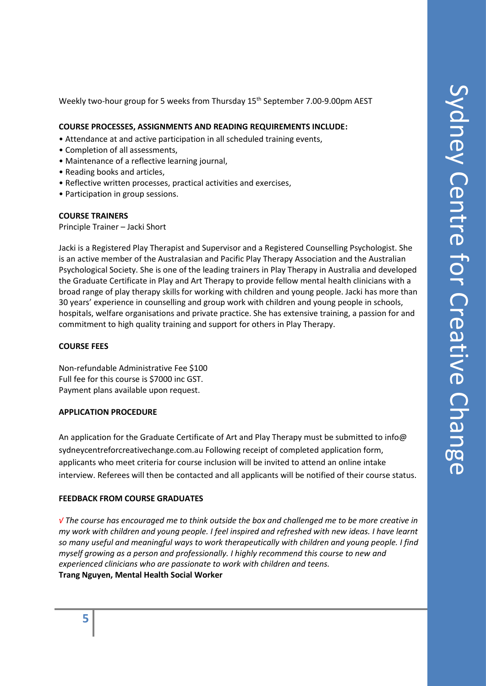Weekly two-hour group for 5 weeks from Thursday 15<sup>th</sup> September 7.00-9.00pm AEST

#### **COURSE PROCESSES, ASSIGNMENTS AND READING REQUIREMENTS INCLUDE:**

- Attendance at and active participation in all scheduled training events,
- Completion of all assessments,
- Maintenance of a reflective learning journal,
- Reading books and articles,
- Reflective written processes, practical activities and exercises,
- Participation in group sessions.

#### **COURSE TRAINERS**

Principle Trainer – Jacki Short

Jacki is a Registered Play Therapist and Supervisor and a Registered Counselling Psychologist. She is an active member of the Australasian and Pacific Play Therapy Association and the Australian Psychological Society. She is one of the leading trainers in Play Therapy in Australia and developed the Graduate Certificate in Play and Art Therapy to provide fellow mental health clinicians with a broad range of play therapy skills for working with children and young people. Jacki has more than 30 years' experience in counselling and group work with children and young people in schools, hospitals, welfare organisations and private practice. She has extensive training, a passion for and commitment to high quality training and support for others in Play Therapy.

#### **COURSE FEES**

Non-refundable Administrative Fee \$100 Full fee for this course is \$7000 inc GST. Payment plans available upon request.

#### **APPLICATION PROCEDURE**

An application for the Graduate Certificate of Art and Play Therapy must be submitted to info@ sydneycentreforcreativechange.com.au Following receipt of completed application form, applicants who meet criteria for course inclusion will be invited to attend an online intake interview. Referees will then be contacted and all applicants will be notified of their course status.

#### **FEEDBACK FROM COURSE GRADUATES**

*√ The course has encouraged me to think outside the box and challenged me to be more creative in my work with children and young people. I feel inspired and refreshed with new ideas. I have learnt so many useful and meaningful ways to work therapeutically with children and young people. I find myself growing as a person and professionally. I highly recommend this course to new and experienced clinicians who are passionate to work with children and teens.*  **Trang Nguyen, Mental Health Social Worker**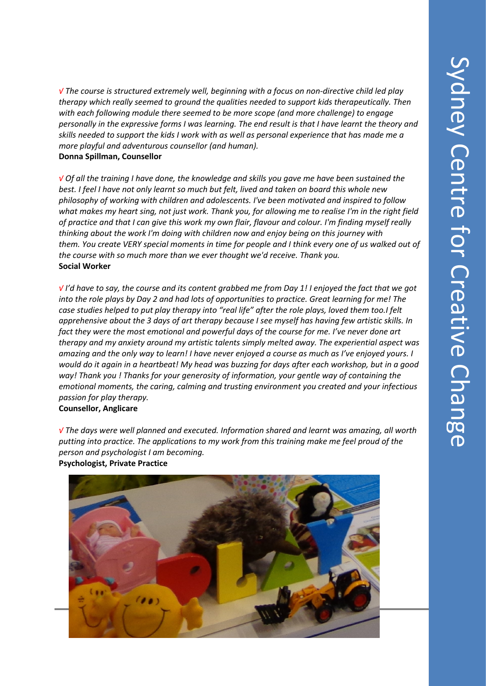*√ The course is structured extremely well, beginning with a focus on non-directive child led play therapy which really seemed to ground the qualities needed to support kids therapeutically. Then with each following module there seemed to be more scope (and more challenge) to engage personally in the expressive forms I was learning. The end result is that I have learnt the theory and skills needed to support the kids I work with as well as personal experience that has made me a more playful and adventurous counsellor (and human).* **Donna Spillman, Counsellor**

*√ Of all the training I have done, the knowledge and skills you gave me have been sustained the best. I feel I have not only learnt so much but felt, lived and taken on board this whole new philosophy of working with children and adolescents. I've been motivated and inspired to follow what makes my heart sing, not just work. Thank you, for allowing me to realise I'm in the right field of practice and that I can give this work my own flair, flavour and colour. I'm finding myself really thinking about the work I'm doing with children now and enjoy being on this journey with them. You create VERY special moments in time for people and I think every one of us walked out of the course with so much more than we ever thought we'd receive. Thank you.* **Social Worker**

*√ I'd have to say, the course and its content grabbed me from Day 1! I enjoyed the fact that we got into the role plays by Day 2 and had lots of opportunities to practice. Great learning for me! The case studies helped to put play therapy into "real life" after the role plays, loved them too.I felt apprehensive about the 3 days of art therapy because I see myself has having few artistic skills. In fact they were the most emotional and powerful days of the course for me. I've never done art therapy and my anxiety around my artistic talents simply melted away. The experiential aspect was amazing and the only way to learn! I have never enjoyed a course as much as I've enjoyed yours. I would do it again in a heartbeat! My head was buzzing for days after each workshop, but in a good way! Thank you ! Thanks for your generosity of information, your gentle way of containing the emotional moments, the caring, calming and trusting environment you created and your infectious passion for play therapy.*  **Counsellor, Anglicare**

*√ The days were well planned and executed. Information shared and learnt was amazing, all worth putting into practice. The applications to my work from this training make me feel proud of the person and psychologist I am becoming.*



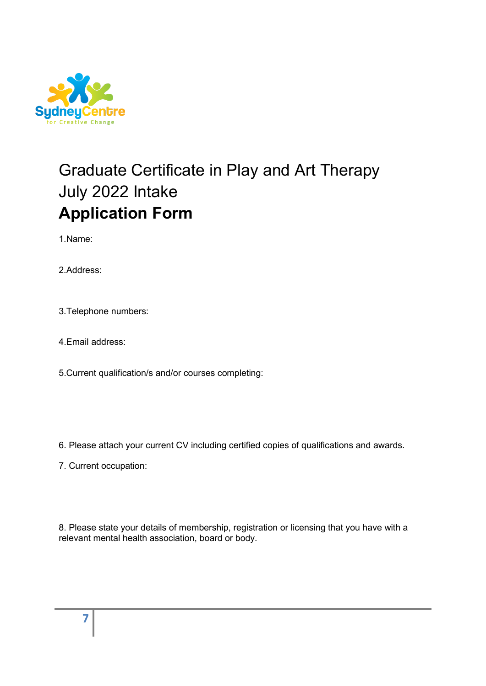

# Graduate Certificate in Play and Art Therapy July 2022 Intake **Application Form**

1.Name:

2.Address:

3.Telephone numbers:

4.Email address:

5.Current qualification/s and/or courses completing:

6. Please attach your current CV including certified copies of qualifications and awards.

7. Current occupation:

8. Please state your details of membership, registration or licensing that you have with a relevant mental health association, board or body.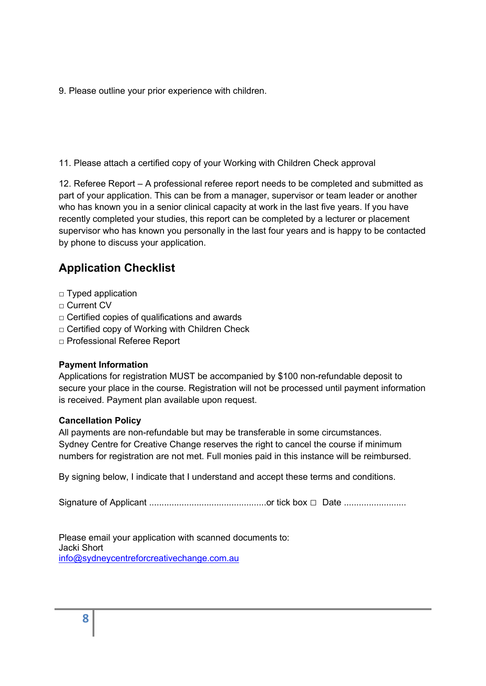9. Please outline your prior experience with children.

11. Please attach a certified copy of your Working with Children Check approval

12. Referee Report – A professional referee report needs to be completed and submitted as part of your application. This can be from a manager, supervisor or team leader or another who has known you in a senior clinical capacity at work in the last five years. If you have recently completed your studies, this report can be completed by a lecturer or placement supervisor who has known you personally in the last four years and is happy to be contacted by phone to discuss your application.

# **Application Checklist**

- □ Typed application
- □ Current CV
- □ Certified copies of qualifications and awards
- □ Certified copy of Working with Children Check
- □ Professional Referee Report

# **Payment Information**

Applications for registration MUST be accompanied by \$100 non-refundable deposit to secure your place in the course. Registration will not be processed until payment information is received. Payment plan available upon request.

## **Cancellation Policy**

All payments are non-refundable but may be transferable in some circumstances. Sydney Centre for Creative Change reserves the right to cancel the course if minimum numbers for registration are not met. Full monies paid in this instance will be reimbursed.

By signing below, I indicate that I understand and accept these terms and conditions.

Signature of Applicant ...............................................or tick box □ Date .........................

Please email your application with scanned documents to: Jacki Short [info@sydneycentreforcreativechange.com.au](mailto:info@sydneycentreforcreativechange.com.au)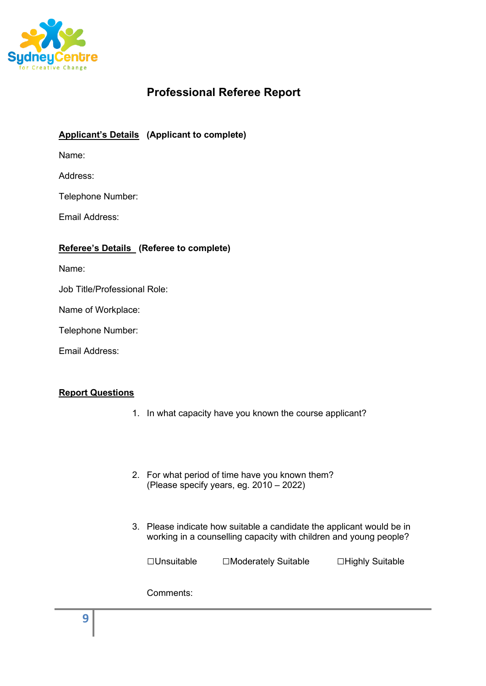

# **Professional Referee Report**

# **Applicant's Details (Applicant to complete)**

Name:

Address:

Telephone Number:

Email Address:

# **Referee's Details (Referee to complete)**

Name:

Job Title/Professional Role:

Name of Workplace:

Telephone Number:

Email Address:

## **Report Questions**

- 1. In what capacity have you known the course applicant?
- 2. For what period of time have you known them? (Please specify years, eg. 2010 – 2022)
- 3. Please indicate how suitable a candidate the applicant would be in working in a counselling capacity with children and young people?

□Unsuitable □Moderately Suitable □Highly Suitable

Comments: